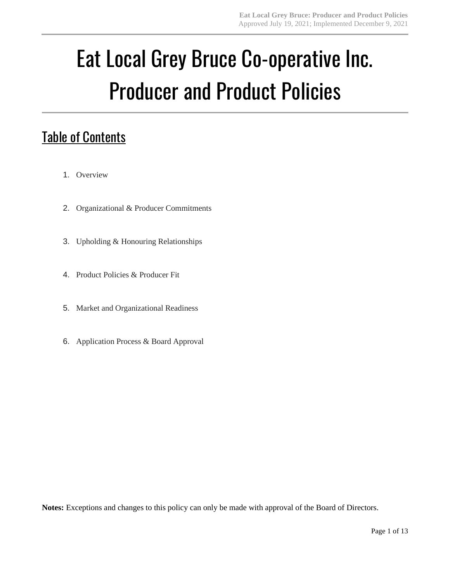# Eat Local Grey Bruce Co-operative Inc. Producer and Product Policies

# **Table of Contents**

- 1. Overview
- 2. Organizational & Producer Commitments
- 3. Upholding & Honouring Relationships
- 4. Product Policies & Producer Fit
- 5. Market and Organizational Readiness
- 6. Application Process & Board Approval

**Notes:** Exceptions and changes to this policy can only be made with approval of the Board of Directors.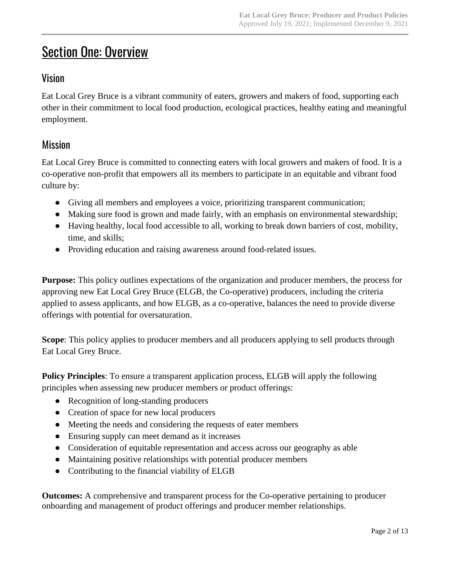# **Section One: Overview**

### Vision

Eat Local Grey Bruce is a vibrant community of eaters, growers and makers of food, supporting each other in their commitment to local food production, ecological practices, healthy eating and meaningful employment.

### Mission

Eat Local Grey Bruce is committed to connecting eaters with local growers and makers of food. It is a co-operative non-profit that empowers all its members to participate in an equitable and vibrant food culture by:

- Giving all members and employees a voice, prioritizing transparent communication;
- Making sure food is grown and made fairly, with an emphasis on environmental stewardship;
- Having healthy, local food accessible to all, working to break down barriers of cost, mobility, time, and skills;
- Providing education and raising awareness around food-related issues.

**Purpose:** This policy outlines expectations of the organization and producer members, the process for approving new Eat Local Grey Bruce (ELGB, the Co-operative) producers, including the criteria applied to assess applicants, and how ELGB, as a co-operative, balances the need to provide diverse offerings with potential for oversaturation.

**Scope**: This policy applies to producer members and all producers applying to sell products through Eat Local Grey Bruce.

**Policy Principles**: To ensure a transparent application process, ELGB will apply the following principles when assessing new producer members or product offerings:

- Recognition of long-standing producers
- Creation of space for new local producers
- Meeting the needs and considering the requests of eater members
- Ensuring supply can meet demand as it increases
- Consideration of equitable representation and access across our geography as able
- Maintaining positive relationships with potential producer members
- Contributing to the financial viability of ELGB

**Outcomes:** A comprehensive and transparent process for the Co-operative pertaining to producer onboarding and management of product offerings and producer member relationships.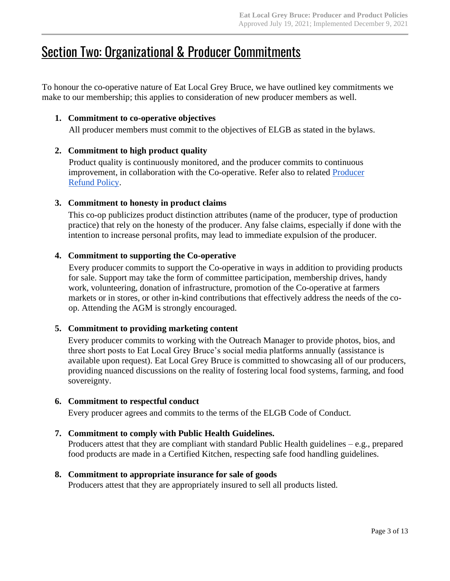## **Section Two: Organizational & Producer Commitments**

To honour the co-operative nature of Eat Local Grey Bruce, we have outlined key commitments we make to our membership; this applies to consideration of new producer members as well.

#### **1. Commitment to co-operative objectives**

All producer members must commit to the objectives of ELGB as stated in the bylaws.

#### **2. Commitment to high product quality**

Product quality is continuously monitored, and the producer commits to continuous improvement, in collaboration with the Co-operative. Refer also to related **Producer** [Refund Policy.](https://docs.google.com/document/d/1UORU4dWYzAHafV1P1h0Ats8WjKxgXIuItlsAbP8TJEk/edit?usp=sharing)

#### **3. Commitment to honesty in product claims**

This co-op publicizes product distinction attributes (name of the producer, type of production practice) that rely on the honesty of the producer. Any false claims, especially if done with the intention to increase personal profits, may lead to immediate expulsion of the producer.

#### **4. Commitment to supporting the Co-operative**

Every producer commits to support the Co-operative in ways in addition to providing products for sale. Support may take the form of committee participation, membership drives, handy work, volunteering, donation of infrastructure, promotion of the Co-operative at farmers markets or in stores, or other in-kind contributions that effectively address the needs of the coop. Attending the AGM is strongly encouraged.

#### **5. Commitment to providing marketing content**

Every producer commits to working with the Outreach Manager to provide photos, bios, and three short posts to Eat Local Grey Bruce's social media platforms annually (assistance is available upon request). Eat Local Grey Bruce is committed to showcasing all of our producers, providing nuanced discussions on the reality of fostering local food systems, farming, and food sovereignty.

#### **6. Commitment to respectful conduct**

Every producer agrees and commits to the terms of the ELGB Code of Conduct.

#### **7. Commitment to comply with Public Health Guidelines.**

Producers attest that they are compliant with standard Public Health guidelines – e.g., prepared food products are made in a Certified Kitchen, respecting safe food handling guidelines.

#### **8. Commitment to appropriate insurance for sale of goods**

Producers attest that they are appropriately insured to sell all products listed.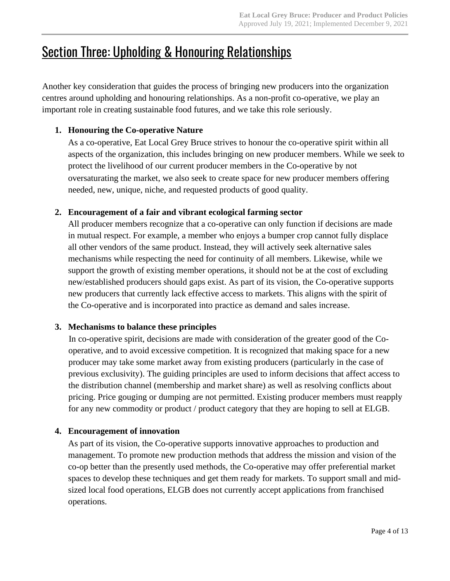# Section Three: Upholding & Honouring Relationships

Another key consideration that guides the process of bringing new producers into the organization centres around upholding and honouring relationships. As a non-profit co-operative, we play an important role in creating sustainable food futures, and we take this role seriously.

#### **1. Honouring the Co-operative Nature**

As a co-operative, Eat Local Grey Bruce strives to honour the co-operative spirit within all aspects of the organization, this includes bringing on new producer members. While we seek to protect the livelihood of our current producer members in the Co-operative by not oversaturating the market, we also seek to create space for new producer members offering needed, new, unique, niche, and requested products of good quality.

#### **2. Encouragement of a fair and vibrant ecological farming sector**

All producer members recognize that a co-operative can only function if decisions are made in mutual respect. For example, a member who enjoys a bumper crop cannot fully displace all other vendors of the same product. Instead, they will actively seek alternative sales mechanisms while respecting the need for continuity of all members. Likewise, while we support the growth of existing member operations, it should not be at the cost of excluding new/established producers should gaps exist. As part of its vision, the Co-operative supports new producers that currently lack effective access to markets. This aligns with the spirit of the Co-operative and is incorporated into practice as demand and sales increase.

#### **3. Mechanisms to balance these principles**

In co-operative spirit, decisions are made with consideration of the greater good of the Cooperative, and to avoid excessive competition. It is recognized that making space for a new producer may take some market away from existing producers (particularly in the case of previous exclusivity). The guiding principles are used to inform decisions that affect access to the distribution channel (membership and market share) as well as resolving conflicts about pricing. Price gouging or dumping are not permitted. Existing producer members must reapply for any new commodity or product / product category that they are hoping to sell at ELGB.

#### **4. Encouragement of innovation**

As part of its vision, the Co-operative supports innovative approaches to production and management. To promote new production methods that address the mission and vision of the co-op better than the presently used methods, the Co-operative may offer preferential market spaces to develop these techniques and get them ready for markets. To support small and midsized local food operations, ELGB does not currently accept applications from franchised operations.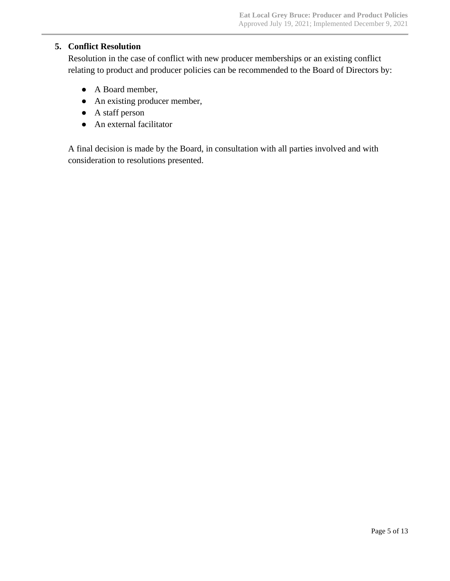#### **5. Conflict Resolution**

Resolution in the case of conflict with new producer memberships or an existing conflict relating to product and producer policies can be recommended to the Board of Directors by:

- A Board member,
- An existing producer member,
- A staff person
- An external facilitator

A final decision is made by the Board, in consultation with all parties involved and with consideration to resolutions presented.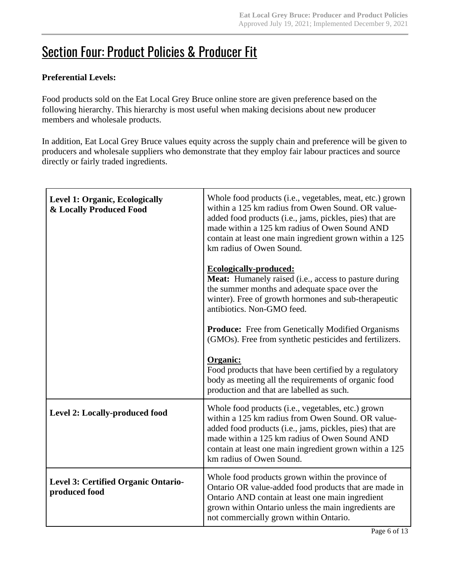# **Section Four: Product Policies & Producer Fit**

#### **Preferential Levels:**

Food products sold on the Eat Local Grey Bruce online store are given preference based on the following hierarchy. This hierarchy is most useful when making decisions about new producer members and wholesale products.

In addition, Eat Local Grey Bruce values equity across the supply chain and preference will be given to producers and wholesale suppliers who demonstrate that they employ fair labour practices and source directly or fairly traded ingredients.

| <b>Level 1: Organic, Ecologically</b><br>& Locally Produced Food | Whole food products (i.e., vegetables, meat, etc.) grown<br>within a 125 km radius from Owen Sound. OR value-<br>added food products (i.e., jams, pickles, pies) that are<br>made within a 125 km radius of Owen Sound AND<br>contain at least one main ingredient grown within a 125<br>km radius of Owen Sound. |
|------------------------------------------------------------------|-------------------------------------------------------------------------------------------------------------------------------------------------------------------------------------------------------------------------------------------------------------------------------------------------------------------|
|                                                                  | <b>Ecologically-produced:</b><br>Meat: Humanely raised (i.e., access to pasture during<br>the summer months and adequate space over the<br>winter). Free of growth hormones and sub-therapeutic<br>antibiotics. Non-GMO feed.                                                                                     |
|                                                                  | <b>Produce:</b> Free from Genetically Modified Organisms<br>(GMOs). Free from synthetic pesticides and fertilizers.                                                                                                                                                                                               |
|                                                                  | Organic:<br>Food products that have been certified by a regulatory<br>body as meeting all the requirements of organic food<br>production and that are labelled as such.                                                                                                                                           |
| Level 2: Locally-produced food                                   | Whole food products (i.e., vegetables, etc.) grown<br>within a 125 km radius from Owen Sound. OR value-<br>added food products (i.e., jams, pickles, pies) that are<br>made within a 125 km radius of Owen Sound AND<br>contain at least one main ingredient grown within a 125<br>km radius of Owen Sound.       |
| <b>Level 3: Certified Organic Ontario-</b><br>produced food      | Whole food products grown within the province of<br>Ontario OR value-added food products that are made in<br>Ontario AND contain at least one main ingredient<br>grown within Ontario unless the main ingredients are<br>not commercially grown within Ontario.                                                   |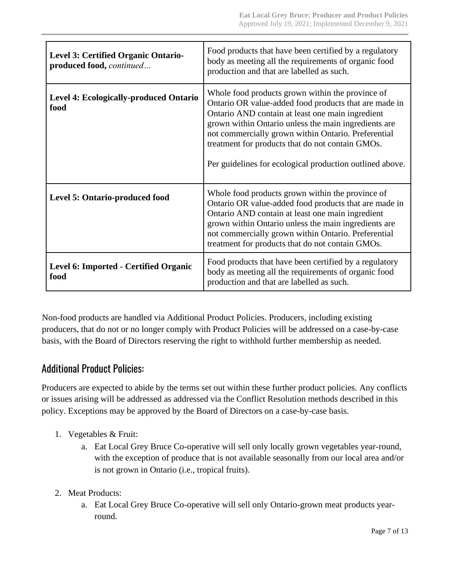| Level 3: Certified Organic Ontario-<br>produced food, continued | Food products that have been certified by a regulatory<br>body as meeting all the requirements of organic food<br>production and that are labelled as such.                                                                                                                                                                                                                                  |
|-----------------------------------------------------------------|----------------------------------------------------------------------------------------------------------------------------------------------------------------------------------------------------------------------------------------------------------------------------------------------------------------------------------------------------------------------------------------------|
| <b>Level 4: Ecologically-produced Ontario</b><br>food           | Whole food products grown within the province of<br>Ontario OR value-added food products that are made in<br>Ontario AND contain at least one main ingredient<br>grown within Ontario unless the main ingredients are<br>not commercially grown within Ontario. Preferential<br>treatment for products that do not contain GMOs.<br>Per guidelines for ecological production outlined above. |
| Level 5: Ontario-produced food                                  | Whole food products grown within the province of<br>Ontario OR value-added food products that are made in<br>Ontario AND contain at least one main ingredient<br>grown within Ontario unless the main ingredients are<br>not commercially grown within Ontario. Preferential<br>treatment for products that do not contain GMOs.                                                             |
| Level 6: Imported - Certified Organic<br>food                   | Food products that have been certified by a regulatory<br>body as meeting all the requirements of organic food<br>production and that are labelled as such.                                                                                                                                                                                                                                  |

Non-food products are handled via Additional Product Policies. Producers, including existing producers, that do not or no longer comply with Product Policies will be addressed on a case-by-case basis, with the Board of Directors reserving the right to withhold further membership as needed.

### Additional Product Policies:

Producers are expected to abide by the terms set out within these further product policies. Any conflicts or issues arising will be addressed as addressed via the Conflict Resolution methods described in this policy. Exceptions may be approved by the Board of Directors on a case-by-case basis.

- 1. Vegetables & Fruit:
	- a. Eat Local Grey Bruce Co-operative will sell only locally grown vegetables year-round, with the exception of produce that is not available seasonally from our local area and/or is not grown in Ontario (i.e., tropical fruits).
- 2. Meat Products:
	- a. Eat Local Grey Bruce Co-operative will sell only Ontario-grown meat products yearround.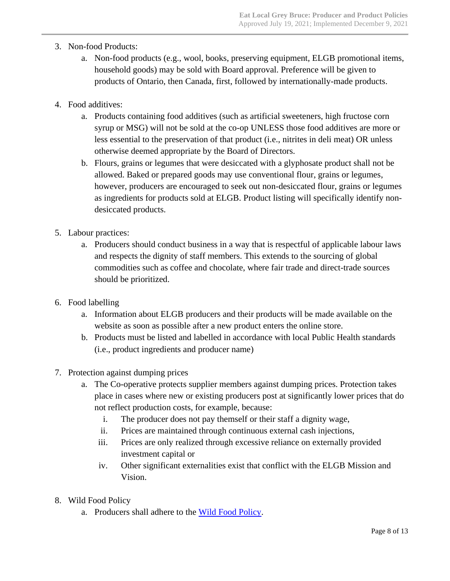- 3. Non-food Products:
	- a. Non-food products (e.g., wool, books, preserving equipment, ELGB promotional items, household goods) may be sold with Board approval. Preference will be given to products of Ontario, then Canada, first, followed by internationally-made products.
- 4. Food additives:
	- a. Products containing food additives (such as artificial sweeteners, high fructose corn syrup or MSG) will not be sold at the co-op UNLESS those food additives are more or less essential to the preservation of that product (i.e., nitrites in deli meat) OR unless otherwise deemed appropriate by the Board of Directors.
	- b. Flours, grains or legumes that were desiccated with a glyphosate product shall not be allowed. Baked or prepared goods may use conventional flour, grains or legumes, however, producers are encouraged to seek out non-desiccated flour, grains or legumes as ingredients for products sold at ELGB. Product listing will specifically identify nondesiccated products.
- 5. Labour practices:
	- a. Producers should conduct business in a way that is respectful of applicable labour laws and respects the dignity of staff members. This extends to the sourcing of global commodities such as coffee and chocolate, where fair trade and direct-trade sources should be prioritized.
- 6. Food labelling
	- a. Information about ELGB producers and their products will be made available on the website as soon as possible after a new product enters the online store.
	- b. Products must be listed and labelled in accordance with local Public Health standards (i.e., product ingredients and producer name)
- 7. Protection against dumping prices
	- a. The Co-operative protects supplier members against dumping prices. Protection takes place in cases where new or existing producers post at significantly lower prices that do not reflect production costs, for example, because:
		- i. The producer does not pay themself or their staff a dignity wage,
		- ii. Prices are maintained through continuous external cash injections,
		- iii. Prices are only realized through excessive reliance on externally provided investment capital or
		- iv. Other significant externalities exist that conflict with the ELGB Mission and Vision.
- 8. Wild Food Policy
	- a. Producers shall adhere to the [Wild Food Policy.](https://drive.google.com/file/d/1P5unOfSQVEgHHrHpwKH-mAXVrtu0fMld/view?usp=sharing)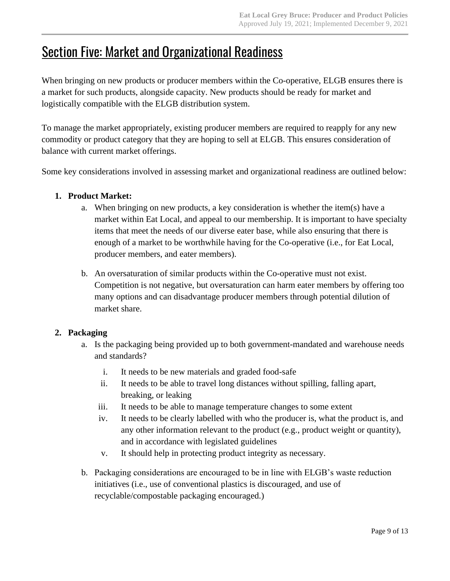# **Section Five: Market and Organizational Readiness**

When bringing on new products or producer members within the Co-operative, ELGB ensures there is a market for such products, alongside capacity. New products should be ready for market and logistically compatible with the ELGB distribution system.

To manage the market appropriately, existing producer members are required to reapply for any new commodity or product category that they are hoping to sell at ELGB. This ensures consideration of balance with current market offerings.

Some key considerations involved in assessing market and organizational readiness are outlined below:

#### **1. Product Market:**

- a. When bringing on new products, a key consideration is whether the item(s) have a market within Eat Local, and appeal to our membership. It is important to have specialty items that meet the needs of our diverse eater base, while also ensuring that there is enough of a market to be worthwhile having for the Co-operative (i.e., for Eat Local, producer members, and eater members).
- b. An oversaturation of similar products within the Co-operative must not exist. Competition is not negative, but oversaturation can harm eater members by offering too many options and can disadvantage producer members through potential dilution of market share.

#### **2. Packaging**

- a. Is the packaging being provided up to both government-mandated and warehouse needs and standards?
	- i. It needs to be new materials and graded food-safe
	- ii. It needs to be able to travel long distances without spilling, falling apart, breaking, or leaking
	- iii. It needs to be able to manage temperature changes to some extent
	- iv. It needs to be clearly labelled with who the producer is, what the product is, and any other information relevant to the product (e.g., product weight or quantity), and in accordance with legislated guidelines
	- v. It should help in protecting product integrity as necessary.
- b. Packaging considerations are encouraged to be in line with ELGB's waste reduction initiatives (i.e., use of conventional plastics is discouraged, and use of recyclable/compostable packaging encouraged.)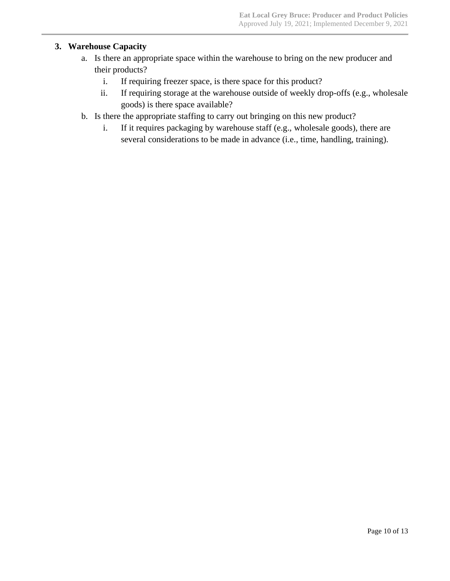#### **3. Warehouse Capacity**

- a. Is there an appropriate space within the warehouse to bring on the new producer and their products?
	- i. If requiring freezer space, is there space for this product?
	- ii. If requiring storage at the warehouse outside of weekly drop-offs (e.g., wholesale goods) is there space available?
- b. Is there the appropriate staffing to carry out bringing on this new product?
	- i. If it requires packaging by warehouse staff (e.g., wholesale goods), there are several considerations to be made in advance (i.e., time, handling, training).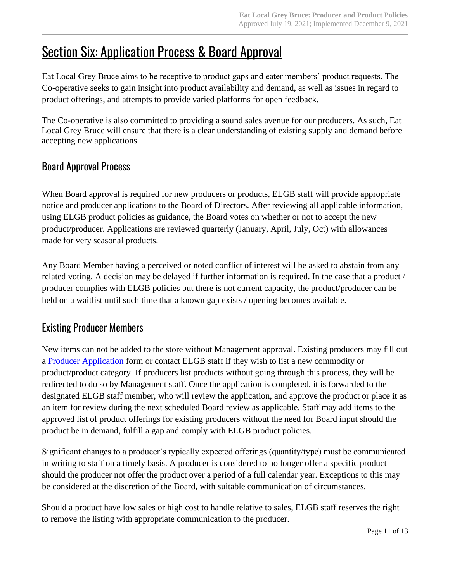# **Section Six: Application Process & Board Approval**

Eat Local Grey Bruce aims to be receptive to product gaps and eater members' product requests. The Co-operative seeks to gain insight into product availability and demand, as well as issues in regard to product offerings, and attempts to provide varied platforms for open feedback.

The Co-operative is also committed to providing a sound sales avenue for our producers. As such, Eat Local Grey Bruce will ensure that there is a clear understanding of existing supply and demand before accepting new applications.

### Board Approval Process

When Board approval is required for new producers or products, ELGB staff will provide appropriate notice and producer applications to the Board of Directors. After reviewing all applicable information, using ELGB product policies as guidance, the Board votes on whether or not to accept the new product/producer. Applications are reviewed quarterly (January, April, July, Oct) with allowances made for very seasonal products.

Any Board Member having a perceived or noted conflict of interest will be asked to abstain from any related voting. A decision may be delayed if further information is required. In the case that a product / producer complies with ELGB policies but there is not current capacity, the product/producer can be held on a waitlist until such time that a known gap exists / opening becomes available.

### Existing Producer Members

New items can not be added to the store without Management approval. Existing producers may fill out a [Producer Application](http://eatlocalgreybruce.ca/eat-local-grey-bruce-producer-application/) form or contact ELGB staff if they wish to list a new commodity or product/product category. If producers list products without going through this process, they will be redirected to do so by Management staff. Once the application is completed, it is forwarded to the designated ELGB staff member, who will review the application, and approve the product or place it as an item for review during the next scheduled Board review as applicable. Staff may add items to the approved list of product offerings for existing producers without the need for Board input should the product be in demand, fulfill a gap and comply with ELGB product policies.

Significant changes to a producer's typically expected offerings (quantity/type) must be communicated in writing to staff on a timely basis. A producer is considered to no longer offer a specific product should the producer not offer the product over a period of a full calendar year. Exceptions to this may be considered at the discretion of the Board, with suitable communication of circumstances.

Should a product have low sales or high cost to handle relative to sales, ELGB staff reserves the right to remove the listing with appropriate communication to the producer.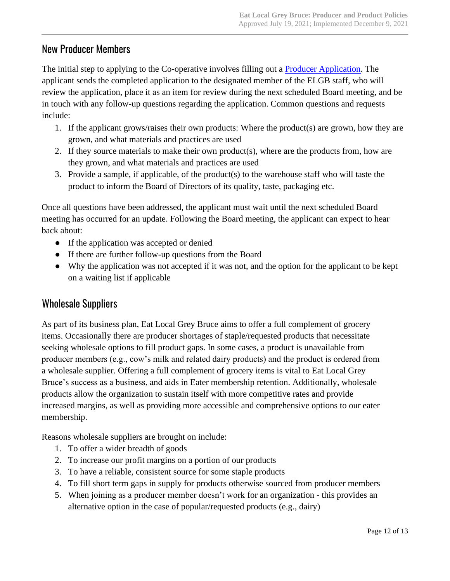### New Producer Members

The initial step to applying to the Co-operative involves filling out a [Producer Application.](http://eatlocalgreybruce.ca/eat-local-grey-bruce-producer-application/) The applicant sends the completed application to the designated member of the ELGB staff, who will review the application, place it as an item for review during the next scheduled Board meeting, and be in touch with any follow-up questions regarding the application. Common questions and requests include:

- 1. If the applicant grows/raises their own products: Where the product(s) are grown, how they are grown, and what materials and practices are used
- 2. If they source materials to make their own product(s), where are the products from, how are they grown, and what materials and practices are used
- 3. Provide a sample, if applicable, of the product(s) to the warehouse staff who will taste the product to inform the Board of Directors of its quality, taste, packaging etc.

Once all questions have been addressed, the applicant must wait until the next scheduled Board meeting has occurred for an update. Following the Board meeting, the applicant can expect to hear back about:

- If the application was accepted or denied
- If there are further follow-up questions from the Board
- Why the application was not accepted if it was not, and the option for the applicant to be kept on a waiting list if applicable

### Wholesale Suppliers

As part of its business plan, Eat Local Grey Bruce aims to offer a full complement of grocery items. Occasionally there are producer shortages of staple/requested products that necessitate seeking wholesale options to fill product gaps. In some cases, a product is unavailable from producer members (e.g., cow's milk and related dairy products) and the product is ordered from a wholesale supplier. Offering a full complement of grocery items is vital to Eat Local Grey Bruce's success as a business, and aids in Eater membership retention. Additionally, wholesale products allow the organization to sustain itself with more competitive rates and provide increased margins, as well as providing more accessible and comprehensive options to our eater membership.

Reasons wholesale suppliers are brought on include:

- 1. To offer a wider breadth of goods
- 2. To increase our profit margins on a portion of our products
- 3. To have a reliable, consistent source for some staple products
- 4. To fill short term gaps in supply for products otherwise sourced from producer members
- 5. When joining as a producer member doesn't work for an organization this provides an alternative option in the case of popular/requested products (e.g., dairy)